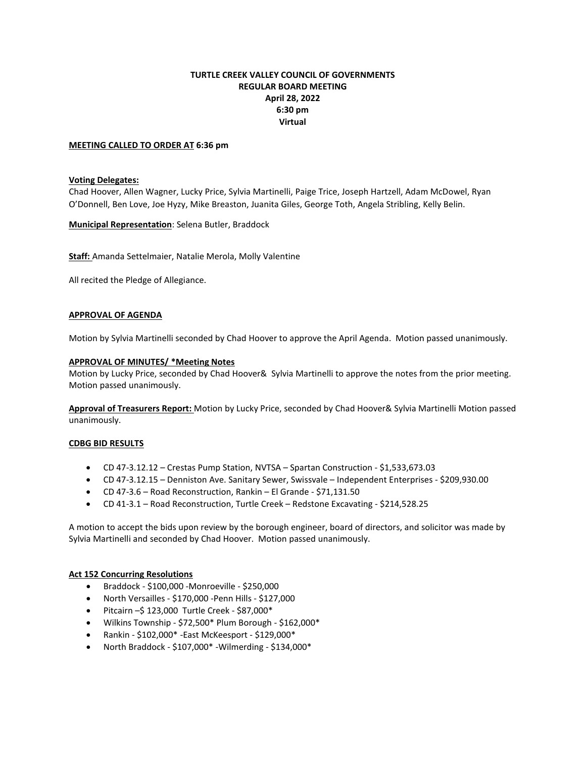# **TURTLE CREEK VALLEY COUNCIL OF GOVERNMENTS REGULAR BOARD MEETING April 28, 2022 6:30 pm Virtual**

### **MEETING CALLED TO ORDER AT 6:36 pm**

### **Voting Delegates:**

Chad Hoover, Allen Wagner, Lucky Price, Sylvia Martinelli, Paige Trice, Joseph Hartzell, Adam McDowel, Ryan O'Donnell, Ben Love, Joe Hyzy, Mike Breaston, Juanita Giles, George Toth, Angela Stribling, Kelly Belin.

**Municipal Representation**: Selena Butler, Braddock

**Staff:** Amanda Settelmaier, Natalie Merola, Molly Valentine

All recited the Pledge of Allegiance.

## **APPROVAL OF AGENDA**

Motion by Sylvia Martinelli seconded by Chad Hoover to approve the April Agenda. Motion passed unanimously.

#### **APPROVAL OF MINUTES/ \*Meeting Notes**

Motion by Lucky Price, seconded by Chad Hoover& Sylvia Martinelli to approve the notes from the prior meeting. Motion passed unanimously.

**Approval of Treasurers Report:** Motion by Lucky Price, seconded by Chad Hoover& Sylvia Martinelli Motion passed unanimously.

#### **CDBG BID RESULTS**

- CD 47-3.12.12 Crestas Pump Station, NVTSA Spartan Construction \$1,533,673.03
- CD 47-3.12.15 Denniston Ave. Sanitary Sewer, Swissvale Independent Enterprises \$209,930.00
- CD 47-3.6 Road Reconstruction, Rankin El Grande \$71,131.50
- CD 41-3.1 Road Reconstruction, Turtle Creek Redstone Excavating \$214,528.25

A motion to accept the bids upon review by the borough engineer, board of directors, and solicitor was made by Sylvia Martinelli and seconded by Chad Hoover. Motion passed unanimously.

#### **Act 152 Concurring Resolutions**

- Braddock \$100,000 -Monroeville \$250,000
- North Versailles \$170,000 -Penn Hills \$127,000
- Pitcairn –\$ 123,000 Turtle Creek \$87,000\*
- Wilkins Township \$72,500\* Plum Borough \$162,000\*
- Rankin \$102,000\* -East McKeesport \$129,000\*
- North Braddock \$107,000\* -Wilmerding \$134,000\*